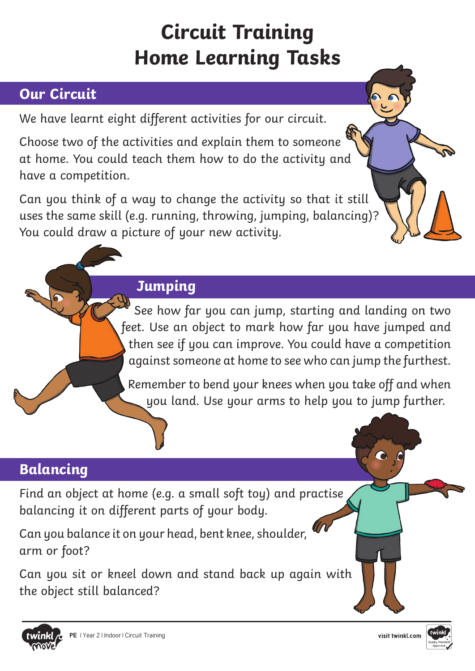# **Circuit Training Home Learning Tasks**

# **Our Circuit**

We have learnt eight different activities for our circuit.

Choose two of the activities and explain them to someone at home. You could teach them how to do the activity and have a competition.

Can you think of a way to change the activity so that it still uses the same skill (e.g. running, throwing, jumping, balancing)? You could draw a picture of your new activity.

### **Jumping**

See how far you can jump, starting and landing on two feet. Use an object to mark how far you have jumped and then see if you can improve. You could have a competition against someone at home to see who can jump the furthest.

Remember to bend your knees when you take off and when you land. Use your arms to help you to jump further.

## **Balancing**

Find an object at home (e.g. a small soft toy) and practise balancing it on different parts of your body.

Can you balance it on your head, bent knee, shoulder, arm or foot?

Can you sit or kneel down and stand back up again with the object still balanced?



 $\bullet$